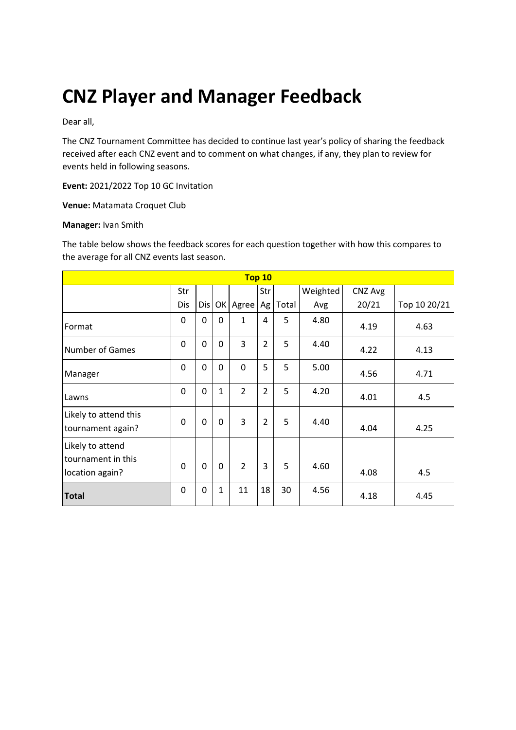# **CNZ Player and Manager Feedback**

Dear all,

The CNZ Tournament Committee has decided to continue last year's policy of sharing the feedback received after each CNZ event and to comment on what changes, if any, they plan to review for events held in following seasons.

**Event:** 2021/2022 Top 10 GC Invitation

**Venue:** Matamata Croquet Club

#### **Manager:** Ivan Smith

The table below shows the feedback scores for each question together with how this compares to the average for all CNZ events last season.

| Top 10                                                    |          |     |              |                |                |       |          |         |              |
|-----------------------------------------------------------|----------|-----|--------------|----------------|----------------|-------|----------|---------|--------------|
|                                                           | Str      |     |              |                | Str            |       | Weighted | CNZ Avg |              |
|                                                           | Dis      | Dis |              | OK Agree       | Ag             | Total | Avg      | 20/21   | Top 10 20/21 |
| Format                                                    | 0        | 0   | $\Omega$     | $\mathbf{1}$   | 4              | 5     | 4.80     | 4.19    | 4.63         |
| <b>Number of Games</b>                                    | 0        | 0   | $\mathbf 0$  | 3              | $\overline{2}$ | 5     | 4.40     | 4.22    | 4.13         |
| Manager                                                   | 0        | 0   | $\mathbf 0$  | 0              | 5              | 5     | 5.00     | 4.56    | 4.71         |
| Lawns                                                     | 0        | 0   | $\mathbf{1}$ | $\overline{2}$ | $\overline{2}$ | 5     | 4.20     | 4.01    | 4.5          |
| Likely to attend this<br>tournament again?                | 0        | 0   | $\mathbf 0$  | 3              | $\overline{2}$ | 5     | 4.40     | 4.04    | 4.25         |
| Likely to attend<br>tournament in this<br>location again? | $\Omega$ | 0   | $\mathbf 0$  | $\overline{2}$ | 3              | 5     | 4.60     | 4.08    | 4.5          |
| <b>Total</b>                                              | 0        | 0   | 1            | 11             | 18             | 30    | 4.56     | 4.18    | 4.45         |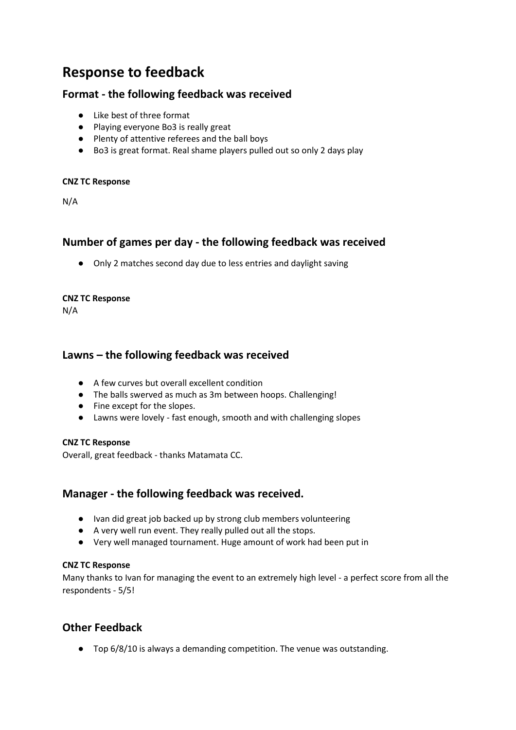# **Response to feedback**

# **Format - the following feedback was received**

- Like best of three format
- Playing everyone Bo3 is really great
- Plenty of attentive referees and the ball boys
- Bo3 is great format. Real shame players pulled out so only 2 days play

#### **CNZ TC Response**

N/A

# **Number of games per day - the following feedback was received**

● Only 2 matches second day due to less entries and daylight saving

#### **CNZ TC Response**

N/A

# **Lawns – the following feedback was received**

- A few curves but overall excellent condition
- The balls swerved as much as 3m between hoops. Challenging!
- Fine except for the slopes.
- Lawns were lovely fast enough, smooth and with challenging slopes

### **CNZ TC Response**

Overall, great feedback - thanks Matamata CC.

# **Manager - the following feedback was received.**

- Ivan did great job backed up by strong club members volunteering
- A very well run event. They really pulled out all the stops.
- Very well managed tournament. Huge amount of work had been put in

### **CNZ TC Response**

Many thanks to Ivan for managing the event to an extremely high level - a perfect score from all the respondents - 5/5!

# **Other Feedback**

● Top 6/8/10 is always a demanding competition. The venue was outstanding.